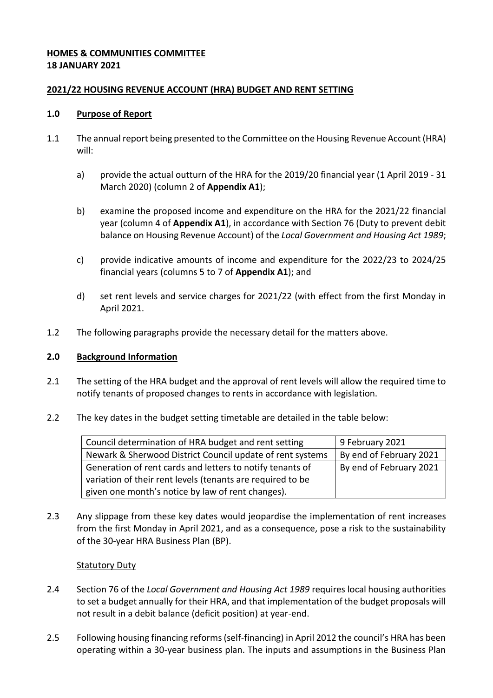# **HOMES & COMMUNITIES COMMITTEE 18 JANUARY 2021**

### <span id="page-0-0"></span>**2021/22 HOUSING REVENUE ACCOUNT (HRA) BUDGET AND RENT SETTING**

### **1.0 Purpose of Report**

- 1.1 The annual report being presented to the Committee on the Housing Revenue Account (HRA) will:
	- a) provide the actual outturn of the HRA for the 2019/20 financial year (1 April 2019 31 March 2020) (column 2 of **Appendix A1**);
	- b) examine the proposed income and expenditure on the HRA for the 2021/22 financial year (column 4 of **Appendix A1**), in accordance with Section 76 (Duty to prevent debit balance on Housing Revenue Account) of the *Local Government and Housing Act 1989*;
	- c) provide indicative amounts of income and expenditure for the 2022/23 to 2024/25 financial years (columns 5 to 7 of **Appendix A1**); and
	- d) set rent levels and service charges for 2021/22 (with effect from the first Monday in April 2021.
- 1.2 The following paragraphs provide the necessary detail for the matters above.

#### **2.0 Background Information**

- 2.1 The setting of the HRA budget and the approval of rent levels will allow the required time to notify tenants of proposed changes to rents in accordance with legislation.
- 2.2 The key dates in the budget setting timetable are detailed in the table below:

| Council determination of HRA budget and rent setting       | 9 February 2021         |
|------------------------------------------------------------|-------------------------|
| Newark & Sherwood District Council update of rent systems  | By end of February 2021 |
| Generation of rent cards and letters to notify tenants of  | By end of February 2021 |
| variation of their rent levels (tenants are required to be |                         |
| given one month's notice by law of rent changes).          |                         |

2.3 Any slippage from these key dates would jeopardise the implementation of rent increases from the first Monday in April 2021, and as a consequence, pose a risk to the sustainability of the 30-year HRA Business Plan (BP).

# Statutory Duty

- 2.4 Section 76 of the *Local Government and Housing Act 1989* requires local housing authorities to set a budget annually for their HRA, and that implementation of the budget proposals will not result in a debit balance (deficit position) at year-end.
- 2.5 Following housing financing reforms (self-financing) in April 2012 the council's HRA has been operating within a 30-year business plan. The inputs and assumptions in the Business Plan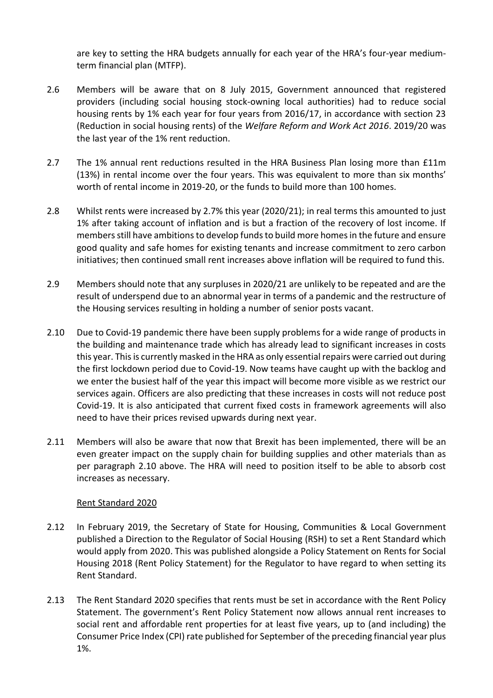are key to setting the HRA budgets annually for each year of the HRA's four-year mediumterm financial plan (MTFP).

- 2.6 Members will be aware that on 8 July 2015, Government announced that registered providers (including social housing stock-owning local authorities) had to reduce social housing rents by 1% each year for four years from 2016/17, in accordance with section 23 (Reduction in social housing rents) of the *Welfare Reform and Work Act 2016*. 2019/20 was the last year of the 1% rent reduction.
- 2.7 The 1% annual rent reductions resulted in the HRA Business Plan losing more than £11m (13%) in rental income over the four years. This was equivalent to more than six months' worth of rental income in 2019-20, or the funds to build more than 100 homes.
- 2.8 Whilst rents were increased by 2.7% this year (2020/21); in real terms this amounted to just 1% after taking account of inflation and is but a fraction of the recovery of lost income. If members still have ambitions to develop funds to build more homes in the future and ensure good quality and safe homes for existing tenants and increase commitment to zero carbon initiatives; then continued small rent increases above inflation will be required to fund this.
- 2.9 Members should note that any surpluses in 2020/21 are unlikely to be repeated and are the result of underspend due to an abnormal year in terms of a pandemic and the restructure of the Housing services resulting in holding a number of senior posts vacant.
- 2.10 Due to Covid-19 pandemic there have been supply problems for a wide range of products in the building and maintenance trade which has already lead to significant increases in costs this year. This is currently masked in the HRA as only essential repairs were carried out during the first lockdown period due to Covid-19. Now teams have caught up with the backlog and we enter the busiest half of the year this impact will become more visible as we restrict our services again. Officers are also predicting that these increases in costs will not reduce post Covid-19. It is also anticipated that current fixed costs in framework agreements will also need to have their prices revised upwards during next year.
- 2.11 Members will also be aware that now that Brexit has been implemented, there will be an even greater impact on the supply chain for building supplies and other materials than as per paragraph 2.10 above. The HRA will need to position itself to be able to absorb cost increases as necessary.

# Rent Standard 2020

- 2.12 In February 2019, the Secretary of State for Housing, Communities & Local Government published a Direction to the Regulator of Social Housing (RSH) to set a Rent Standard which would apply from 2020. This was published alongside a Policy Statement on Rents for Social Housing 2018 (Rent Policy Statement) for the Regulator to have regard to when setting its Rent Standard.
- 2.13 The Rent Standard 2020 specifies that rents must be set in accordance with the Rent Policy Statement. The government's Rent Policy Statement now allows annual rent increases to social rent and affordable rent properties for at least five years, up to (and including) the Consumer Price Index (CPI) rate published for September of the preceding financial year plus 1%.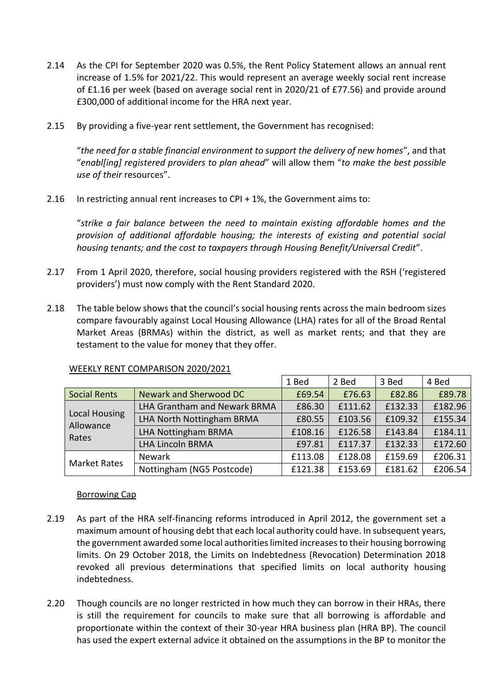- 2.14 As the CPI for September 2020 was 0.5%, the Rent Policy Statement allows an annual rent increase of 1.5% for 2021/22. This would represent an average weekly social rent increase of £1.16 per week (based on average social rent in 2020/21 of £77.56) and provide around £300,000 of additional income for the HRA next year.
- 2.15 By providing a five-year rent settlement, the Government has recognised:

"*the need for a stable financial environment to support the delivery of new homes*", and that "*enabl[ing] registered providers to plan ahead*" will allow them "*to make the best possible use of their* resources".

2.16 In restricting annual rent increases to CPI + 1%, the Government aims to:

"*strike a fair balance between the need to maintain existing affordable homes and the provision of additional affordable housing; the interests of existing and potential social housing tenants; and the cost to taxpayers through Housing Benefit/Universal Credit*".

- 2.17 From 1 April 2020, therefore, social housing providers registered with the RSH ('registered providers') must now comply with the Rent Standard 2020.
- 2.18 The table below shows that the council's social housing rents across the main bedroom sizes compare favourably against Local Housing Allowance (LHA) rates for all of the Broad Rental Market Areas (BRMAs) within the district, as well as market rents; and that they are testament to the value for money that they offer.

|                                     |                                     | 1 Bed   | 2 Bed   | 3 Bed   | 4 Bed   |
|-------------------------------------|-------------------------------------|---------|---------|---------|---------|
| Social Rents                        | Newark and Sherwood DC              | £69.54  | £76.63  | £82.86  | £89.78  |
| Local Housing<br>Allowance<br>Rates | <b>LHA Grantham and Newark BRMA</b> | £86.30  | £111.62 | £132.33 | £182.96 |
|                                     | LHA North Nottingham BRMA           | £80.55  | £103.56 | £109.32 | £155.34 |
|                                     | LHA Nottingham BRMA                 | £108.16 | £126.58 | £143.84 | £184.11 |
|                                     | <b>LHA Lincoln BRMA</b>             | £97.81  | £117.37 | £132.33 | £172.60 |
| <b>Market Rates</b>                 | <b>Newark</b>                       | £113.08 | £128.08 | £159.69 | £206.31 |
|                                     | Nottingham (NG5 Postcode)           | £121.38 | £153.69 | £181.62 | £206.54 |

#### WEEKLY RENT COMPARISON 2020/2021

#### Borrowing Cap

- 2.19 As part of the HRA self-financing reforms introduced in April 2012, the government set a maximum amount of housing debt that each local authority could have. In subsequent years, the government awarded some local authorities limited increases to their housing borrowing limits. On 29 October 2018, the Limits on Indebtedness (Revocation) Determination 2018 revoked all previous determinations that specified limits on local authority housing indebtedness.
- 2.20 Though councils are no longer restricted in how much they can borrow in their HRAs, there is still the requirement for councils to make sure that all borrowing is affordable and proportionate within the context of their 30-year HRA business plan (HRA BP). The council has used the expert external advice it obtained on the assumptions in the BP to monitor the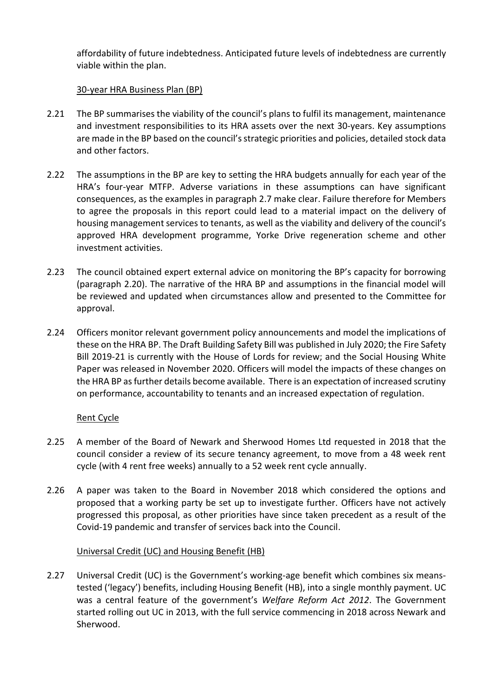affordability of future indebtedness. Anticipated future levels of indebtedness are currently viable within the plan.

### 30-year HRA Business Plan (BP)

- 2.21 The BP summarises the viability of the council's plans to fulfil its management, maintenance and investment responsibilities to its HRA assets over the next 30-years. Key assumptions are made in the BP based on the council's strategic priorities and policies, detailed stock data and other factors.
- 2.22 The assumptions in the BP are key to setting the HRA budgets annually for each year of the HRA's four-year MTFP. Adverse variations in these assumptions can have significant consequences, as the examples in paragraph 2.7 make clear. Failure therefore for Members to agree the proposals in this report could lead to a material impact on the delivery of housing management services to tenants, as well as the viability and delivery of the council's approved HRA development programme, Yorke Drive regeneration scheme and other investment activities.
- 2.23 The council obtained expert external advice on monitoring the BP's capacity for borrowing (paragraph 2.20). The narrative of the HRA BP and assumptions in the financial model will be reviewed and updated when circumstances allow and presented to the Committee for approval.
- 2.24 Officers monitor relevant government policy announcements and model the implications of these on the HRA BP. The Draft Building Safety Bill was published in July 2020; the Fire Safety Bill 2019-21 is currently with the House of Lords for review; and the Social Housing White Paper was released in November 2020. Officers will model the impacts of these changes on the HRA BP as further details become available. There is an expectation of increased scrutiny on performance, accountability to tenants and an increased expectation of regulation.

# Rent Cycle

- 2.25 A member of the Board of Newark and Sherwood Homes Ltd requested in 2018 that the council consider a review of its secure tenancy agreement, to move from a 48 week rent cycle (with 4 rent free weeks) annually to a 52 week rent cycle annually.
- 2.26 A paper was taken to the Board in November 2018 which considered the options and proposed that a working party be set up to investigate further. Officers have not actively progressed this proposal, as other priorities have since taken precedent as a result of the Covid-19 pandemic and transfer of services back into the Council.

#### Universal Credit (UC) and Housing Benefit (HB)

2.27 Universal Credit (UC) is the Government's working-age benefit which combines six meanstested ('legacy') benefits, including Housing Benefit (HB), into a single monthly payment. UC was a central feature of the government's *Welfare Reform Act 2012*. The Government started rolling out UC in 2013, with the full service commencing in 2018 across Newark and Sherwood.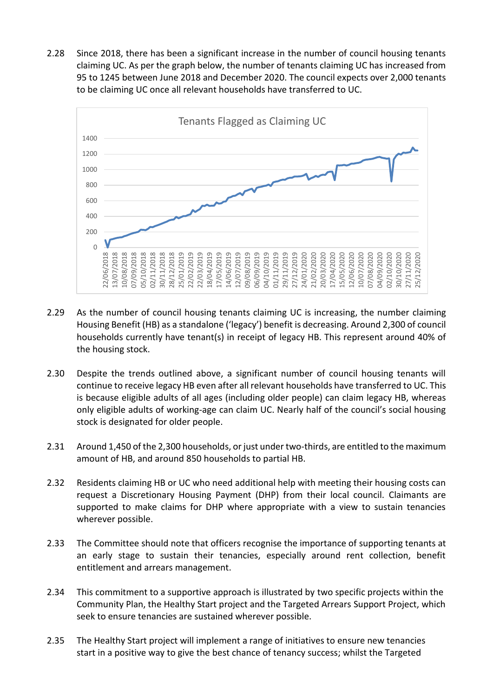2.28 Since 2018, there has been a significant increase in the number of council housing tenants claiming UC. As per the graph below, the number of tenants claiming UC has increased from 95 to 1245 between June 2018 and December 2020. The council expects over 2,000 tenants to be claiming UC once all relevant households have transferred to UC.



- 2.29 As the number of council housing tenants claiming UC is increasing, the number claiming Housing Benefit (HB) as a standalone ('legacy') benefit is decreasing. Around 2,300 of council households currently have tenant(s) in receipt of legacy HB. This represent around 40% of the housing stock.
- 2.30 Despite the trends outlined above, a significant number of council housing tenants will continue to receive legacy HB even after all relevant households have transferred to UC. This is because eligible adults of all ages (including older people) can claim legacy HB, whereas only eligible adults of working-age can claim UC. Nearly half of the council's social housing stock is designated for older people.
- 2.31 Around 1,450 of the 2,300 households, or just under two-thirds, are entitled to the maximum amount of HB, and around 850 households to partial HB.
- 2.32 Residents claiming HB or UC who need additional help with meeting their housing costs can request a Discretionary Housing Payment (DHP) from their local council. Claimants are supported to make claims for DHP where appropriate with a view to sustain tenancies wherever possible.
- 2.33 The Committee should note that officers recognise the importance of supporting tenants at an early stage to sustain their tenancies, especially around rent collection, benefit entitlement and arrears management.
- 2.34 This commitment to a supportive approach is illustrated by two specific projects within the Community Plan, the Healthy Start project and the Targeted Arrears Support Project, which seek to ensure tenancies are sustained wherever possible.
- 2.35 The Healthy Start project will implement a range of initiatives to ensure new tenancies start in a positive way to give the best chance of tenancy success; whilst the Targeted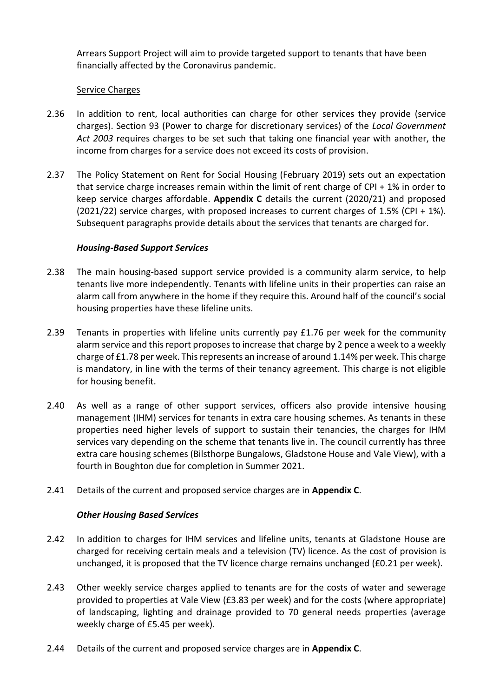Arrears Support Project will aim to provide targeted support to tenants that have been financially affected by the Coronavirus pandemic.

### Service Charges

- 2.36 In addition to rent, local authorities can charge for other services they provide (service charges). Section 93 (Power to charge for discretionary services) of the *Local Government Act 2003* requires charges to be set such that taking one financial year with another, the income from charges for a service does not exceed its costs of provision.
- 2.37 The Policy Statement on Rent for Social Housing (February 2019) sets out an expectation that service charge increases remain within the limit of rent charge of CPI + 1% in order to keep service charges affordable. **Appendix C** details the current (2020/21) and proposed  $(2021/22)$  service charges, with proposed increases to current charges of 1.5% (CPI + 1%). Subsequent paragraphs provide details about the services that tenants are charged for.

# *Housing-Based Support Services*

- 2.38 The main housing-based support service provided is a community alarm service, to help tenants live more independently. Tenants with lifeline units in their properties can raise an alarm call from anywhere in the home if they require this. Around half of the council's social housing properties have these lifeline units.
- 2.39 Tenants in properties with lifeline units currently pay £1.76 per week for the community alarm service and this report proposes to increase that charge by 2 pence a week to a weekly charge of £1.78 per week. This represents an increase of around 1.14% per week. This charge is mandatory, in line with the terms of their tenancy agreement. This charge is not eligible for housing benefit.
- 2.40 As well as a range of other support services, officers also provide intensive housing management (IHM) services for tenants in extra care housing schemes. As tenants in these properties need higher levels of support to sustain their tenancies, the charges for IHM services vary depending on the scheme that tenants live in. The council currently has three extra care housing schemes (Bilsthorpe Bungalows, Gladstone House and Vale View), with a fourth in Boughton due for completion in Summer 2021.
- 2.41 Details of the current and proposed service charges are in **Appendix C**.

# *Other Housing Based Services*

- 2.42 In addition to charges for IHM services and lifeline units, tenants at Gladstone House are charged for receiving certain meals and a television (TV) licence. As the cost of provision is unchanged, it is proposed that the TV licence charge remains unchanged (£0.21 per week).
- 2.43 Other weekly service charges applied to tenants are for the costs of water and sewerage provided to properties at Vale View (£3.83 per week) and for the costs (where appropriate) of landscaping, lighting and drainage provided to 70 general needs properties (average weekly charge of £5.45 per week).
- 2.44 Details of the current and proposed service charges are in **Appendix C**.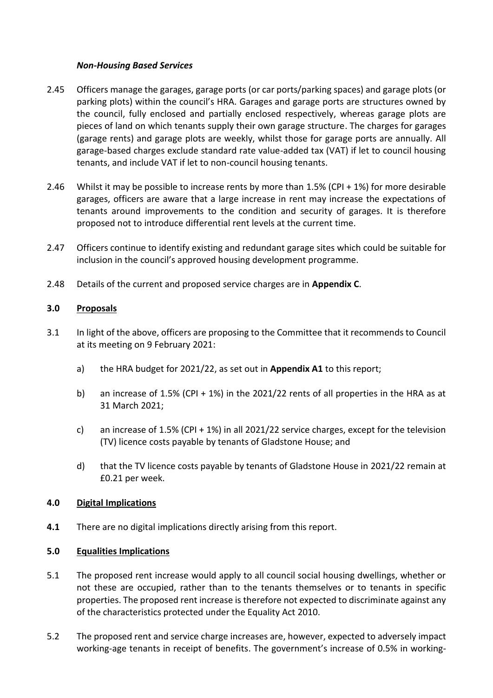### *Non-Housing Based Services*

- 2.45 Officers manage the garages, garage ports (or car ports/parking spaces) and garage plots (or parking plots) within the council's HRA. Garages and garage ports are structures owned by the council, fully enclosed and partially enclosed respectively, whereas garage plots are pieces of land on which tenants supply their own garage structure. The charges for garages (garage rents) and garage plots are weekly, whilst those for garage ports are annually. All garage-based charges exclude standard rate value-added tax (VAT) if let to council housing tenants, and include VAT if let to non-council housing tenants.
- 2.46 Whilst it may be possible to increase rents by more than 1.5% (CPI + 1%) for more desirable garages, officers are aware that a large increase in rent may increase the expectations of tenants around improvements to the condition and security of garages. It is therefore proposed not to introduce differential rent levels at the current time.
- 2.47 Officers continue to identify existing and redundant garage sites which could be suitable for inclusion in the council's approved housing development programme.
- 2.48 Details of the current and proposed service charges are in **Appendix C**.

# **3.0 Proposals**

- 3.1 In light of the above, officers are proposing to the Committee that it recommends to Council at its meeting on 9 February 2021:
	- a) the HRA budget for 2021/22, as set out in **Appendix A1** to this report;
	- b) an increase of 1.5% (CPI + 1%) in the 2021/22 rents of all properties in the HRA as at 31 March 2021;
	- c) an increase of 1.5% (CPI + 1%) in all 2021/22 service charges, except for the television (TV) licence costs payable by tenants of Gladstone House; and
	- d) that the TV licence costs payable by tenants of Gladstone House in 2021/22 remain at £0.21 per week.

# **4.0 Digital Implications**

**4.1** There are no digital implications directly arising from this report.

# **5.0 Equalities Implications**

- 5.1 The proposed rent increase would apply to all council social housing dwellings, whether or not these are occupied, rather than to the tenants themselves or to tenants in specific properties. The proposed rent increase is therefore not expected to discriminate against any of the characteristics protected under the Equality Act 2010.
- 5.2 The proposed rent and service charge increases are, however, expected to adversely impact working-age tenants in receipt of benefits. The government's increase of 0.5% in working-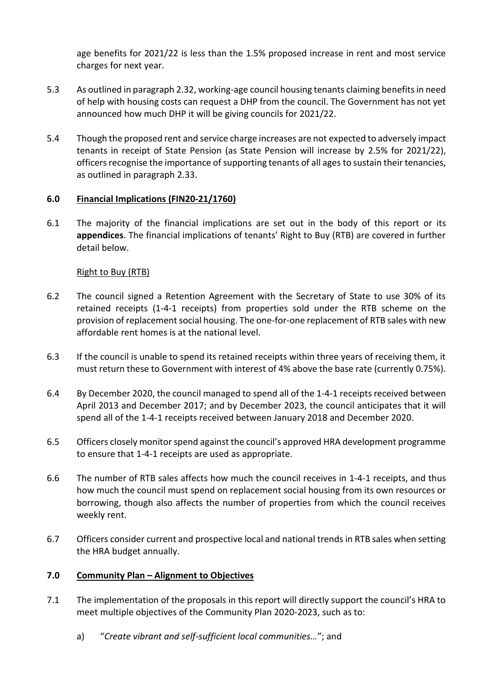age benefits for 2021/22 is less than the 1.5% proposed increase in rent and most service charges for next year.

- 5.3 As outlined in paragraph 2.32, working-age council housing tenants claiming benefits in need of help with housing costs can request a DHP from the council. The Government has not yet announced how much DHP it will be giving councils for 2021/22.
- 5.4 Though the proposed rent and service charge increases are not expected to adversely impact tenants in receipt of State Pension (as State Pension will increase by 2.5% for 2021/22), officers recognise the importance of supporting tenants of all ages to sustain their tenancies, as outlined in paragraph 2.33.

### **6.0 Financial Implications (FIN20-21/1760)**

6.1 The majority of the financial implications are set out in the body of this report or its **appendices**. The financial implications of tenants' Right to Buy (RTB) are covered in further detail below.

### Right to Buy (RTB)

- 6.2 The council signed a Retention Agreement with the Secretary of State to use 30% of its retained receipts (1-4-1 receipts) from properties sold under the RTB scheme on the provision of replacement social housing. The one-for-one replacement of RTB sales with new affordable rent homes is at the national level.
- 6.3 If the council is unable to spend its retained receipts within three years of receiving them, it must return these to Government with interest of 4% above the base rate (currently 0.75%).
- 6.4 By December 2020, the council managed to spend all of the 1-4-1 receipts received between April 2013 and December 2017; and by December 2023, the council anticipates that it will spend all of the 1-4-1 receipts received between January 2018 and December 2020.
- 6.5 Officers closely monitor spend against the council's approved HRA development programme to ensure that 1-4-1 receipts are used as appropriate.
- 6.6 The number of RTB sales affects how much the council receives in 1-4-1 receipts, and thus how much the council must spend on replacement social housing from its own resources or borrowing, though also affects the number of properties from which the council receives weekly rent.
- 6.7 Officers consider current and prospective local and national trends in RTB sales when setting the HRA budget annually.

#### **7.0 Community Plan – Alignment to Objectives**

- 7.1 The implementation of the proposals in this report will directly support the council's HRA to meet multiple objectives of the Community Plan 2020-2023, such as to:
	- a) "*Create vibrant and self-sufficient local communities…*"; and